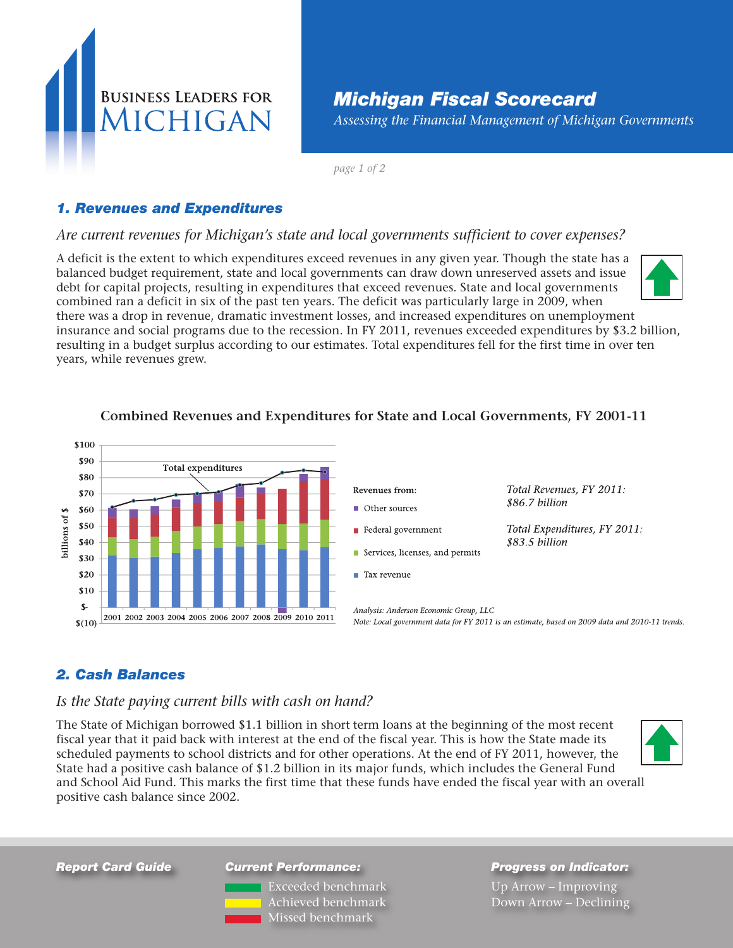

# *Michigan Fiscal Scorecard*

*Assessing the Financial Management of Michigan Governments*

*page 1 of 2*

### *1. Revenues and Expenditures*

#### *Are current revenues for Michigan's state and local governments sufficient to cover expenses?*

A deficit is the extent to which expenditures exceed revenues in any given year. Though the state has a balanced budget requirement, state and local governments can draw down unreserved assets and issue debt for capital projects, resulting in expenditures that exceed revenues. State and local governments combined ran a deficit in six of the past ten years. The deficit was particularly large in 2009, when there was a drop in revenue, dramatic investment losses, and increased expenditures on unemployment

insurance and social programs due to the recession. In FY 2011, revenues exceeded expenditures by \$3.2 billion, resulting in a budget surplus according to our estimates. Total expenditures fell for the first time in over ten years, while revenues grew.



#### **Combined Revenues and Expenditures for State and Local Governments, FY 2001-11**

### *2. Cash Balances*

#### *Is the State paying current bills with cash on hand?*

The State of Michigan borrowed \$1.1 billion in short term loans at the beginning of the most recent fiscal year that it paid back with interest at the end of the fiscal year. This is how the State made its scheduled payments to school districts and for other operations. At the end of FY 2011, however, the State had a positive cash balance of \$1.2 billion in its major funds, which includes the General Fund and School Aid Fund. This marks the first time that these funds have ended the fiscal year with an overall positive cash balance since 2002.



*Report Card Guide*

*Current Performance:* Exceeded benchmark Achieved benchmark Missed benchmark

*Progress on Indicator:* Up Arrow – Improving Down Arrow – Declining